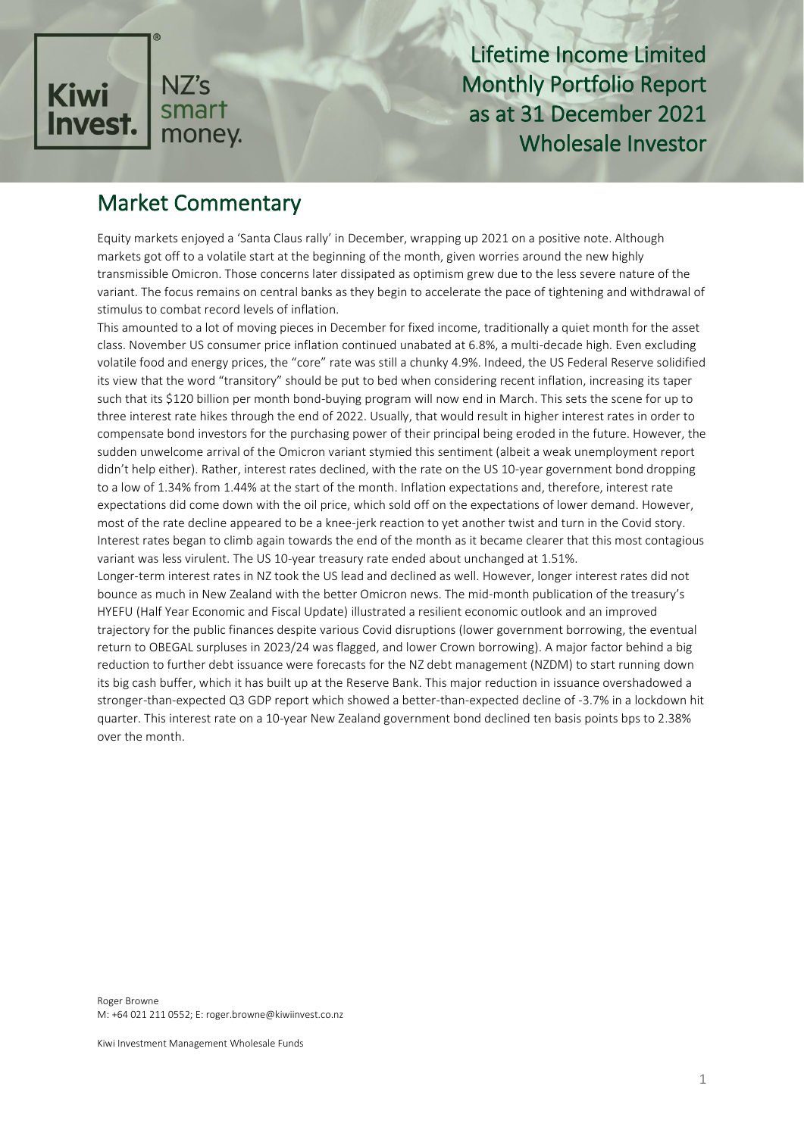

Lifetime Income Limited Monthly Portfolio Report as at 31 December 2021 Wholesale Investor

# Market Commentary

Equity markets enjoyed a 'Santa Claus rally' in December, wrapping up 2021 on a positive note. Although markets got off to a volatile start at the beginning of the month, given worries around the new highly transmissible Omicron. Those concerns later dissipated as optimism grew due to the less severe nature of the variant. The focus remains on central banks as they begin to accelerate the pace of tightening and withdrawal of stimulus to combat record levels of inflation.

This amounted to a lot of moving pieces in December for fixed income, traditionally a quiet month for the asset class. November US consumer price inflation continued unabated at 6.8%, a multi-decade high. Even excluding volatile food and energy prices, the "core" rate was still a chunky 4.9%. Indeed, the US Federal Reserve solidified its view that the word "transitory" should be put to bed when considering recent inflation, increasing its taper such that its \$120 billion per month bond-buying program will now end in March. This sets the scene for up to three interest rate hikes through the end of 2022. Usually, that would result in higher interest rates in order to compensate bond investors for the purchasing power of their principal being eroded in the future. However, the sudden unwelcome arrival of the Omicron variant stymied this sentiment (albeit a weak unemployment report didn't help either). Rather, interest rates declined, with the rate on the US 10-year government bond dropping to a low of 1.34% from 1.44% at the start of the month. Inflation expectations and, therefore, interest rate expectations did come down with the oil price, which sold off on the expectations of lower demand. However, most of the rate decline appeared to be a knee-jerk reaction to yet another twist and turn in the Covid story. Interest rates began to climb again towards the end of the month as it became clearer that this most contagious variant was less virulent. The US 10-year treasury rate ended about unchanged at 1.51%.

Longer-term interest rates in NZ took the US lead and declined as well. However, longer interest rates did not bounce as much in New Zealand with the better Omicron news. The mid-month publication of the treasury's HYEFU (Half Year Economic and Fiscal Update) illustrated a resilient economic outlook and an improved trajectory for the public finances despite various Covid disruptions (lower government borrowing, the eventual return to OBEGAL surpluses in 2023/24 was flagged, and lower Crown borrowing). A major factor behind a big reduction to further debt issuance were forecasts for the NZ debt management (NZDM) to start running down its big cash buffer, which it has built up at the Reserve Bank. This major reduction in issuance overshadowed a stronger-than-expected Q3 GDP report which showed a better-than-expected decline of -3.7% in a lockdown hit quarter. This interest rate on a 10-year New Zealand government bond declined ten basis points bps to 2.38% over the month.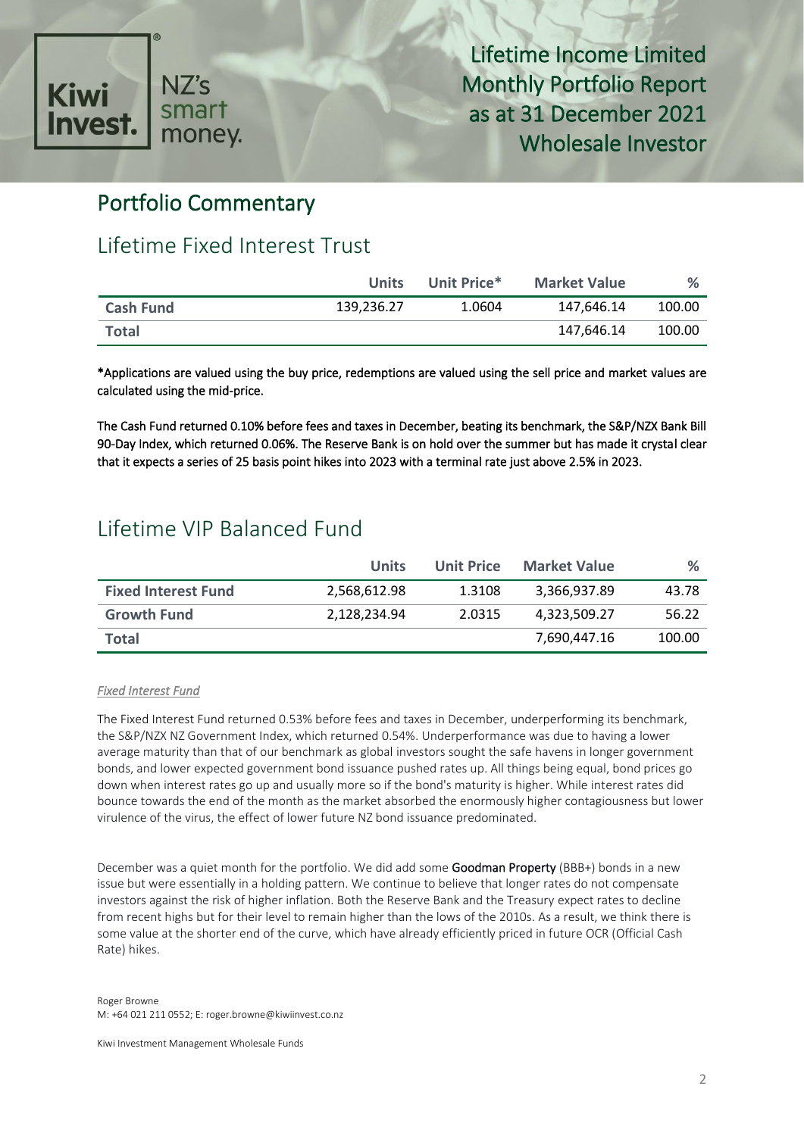

Lifetime Income Limited Monthly Portfolio Report as at 31 December 2021 Wholesale Investor

# Portfolio Commentary

# Lifetime Fixed Interest Trust

|                  | <b>Units</b> | Unit Price* | <b>Market Value</b> | %      |
|------------------|--------------|-------------|---------------------|--------|
| <b>Cash Fund</b> | 139.236.27   | 1.0604      | 147.646.14          | 100.00 |
| <b>Total</b>     |              |             | 147.646.14          | 100.00 |

\*Applications are valued using the buy price, redemptions are valued using the sell price and market values are calculated using the mid-price.

The Cash Fund returned 0.10% before fees and taxes in December, beating its benchmark, the S&P/NZX Bank Bill 90-Day Index, which returned 0.06%. The Reserve Bank is on hold over the summer but has made it crystal clear that it expects a series of 25 basis point hikes into 2023 with a terminal rate just above 2.5% in 2023.

# Lifetime VIP Balanced Fund

|                            | Units        | Unit Price | <b>Market Value</b> | %      |
|----------------------------|--------------|------------|---------------------|--------|
| <b>Fixed Interest Fund</b> | 2,568,612.98 | 1.3108     | 3,366,937.89        | 43.78  |
| <b>Growth Fund</b>         | 2,128,234.94 | 2.0315     | 4,323,509.27        | 56.22  |
| Total                      |              |            | 7,690,447.16        | 100.00 |

#### *Fixed Interest Fund*

The Fixed Interest Fund returned 0.53% before fees and taxes in December, underperforming its benchmark, the S&P/NZX NZ Government Index, which returned 0.54%. Underperformance was due to having a lower average maturity than that of our benchmark as global investors sought the safe havens in longer government bonds, and lower expected government bond issuance pushed rates up. All things being equal, bond prices go down when interest rates go up and usually more so if the bond's maturity is higher. While interest rates did bounce towards the end of the month as the market absorbed the enormously higher contagiousness but lower virulence of the virus, the effect of lower future NZ bond issuance predominated.

December was a quiet month for the portfolio. We did add some Goodman Property (BBB+) bonds in a new issue but were essentially in a holding pattern. We continue to believe that longer rates do not compensate investors against the risk of higher inflation. Both the Reserve Bank and the Treasury expect rates to decline from recent highs but for their level to remain higher than the lows of the 2010s. As a result, we think there is some value at the shorter end of the curve, which have already efficiently priced in future OCR (Official Cash Rate) hikes.

Kiwi Investment Management Wholesale Funds